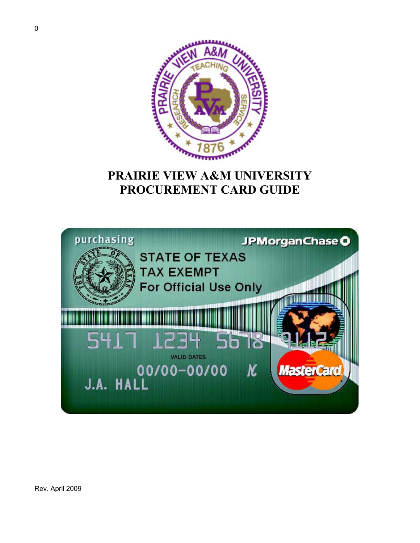

# **PRAIRIE VIEW A&M UNIVERSITY PROCUREMENT CARD GUIDE**

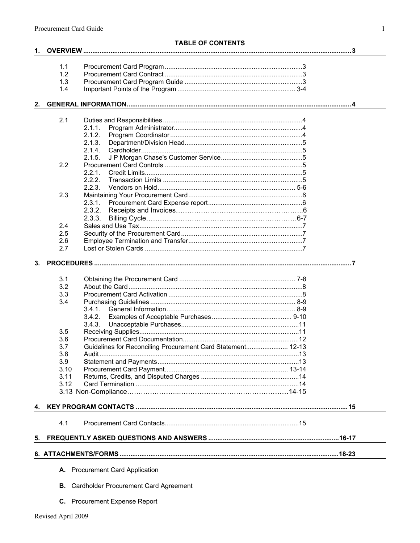|    |            | <b>TABLE OF CONTENTS</b>                                    |  |
|----|------------|-------------------------------------------------------------|--|
| 1. |            |                                                             |  |
|    |            |                                                             |  |
|    | 1.1        |                                                             |  |
|    | 1.2        |                                                             |  |
|    | 1.3        |                                                             |  |
|    | 1.4        |                                                             |  |
| 2. |            |                                                             |  |
|    |            |                                                             |  |
|    | 2.1        |                                                             |  |
|    |            | 2.1.1.                                                      |  |
|    |            | 2.1.2.                                                      |  |
|    |            | 2.1.3.                                                      |  |
|    |            | 2.1.4.                                                      |  |
|    |            | 2.1.5.                                                      |  |
|    | 2.2        |                                                             |  |
|    |            | 2.2.1.                                                      |  |
|    |            | 2.2.2.                                                      |  |
|    |            | 2.2.3.                                                      |  |
|    | 2.3        |                                                             |  |
|    |            | 2.3.1.                                                      |  |
|    |            | 2.3.2.                                                      |  |
|    |            | 2.3.3.                                                      |  |
|    | 2.4        |                                                             |  |
|    | 2.5        |                                                             |  |
|    | 2.6        |                                                             |  |
|    | 2.7        |                                                             |  |
| 3. |            |                                                             |  |
|    |            |                                                             |  |
|    | 3.1        |                                                             |  |
|    | 3.2        |                                                             |  |
|    | 3.3        |                                                             |  |
|    | 3.4        |                                                             |  |
|    |            | 3.4.1.                                                      |  |
|    |            | 3.4.2.                                                      |  |
|    |            | 3.4.3.                                                      |  |
|    | 3.5        |                                                             |  |
|    | 3.6        |                                                             |  |
|    | 3.7        | Guidelines for Reconciling Procurement Card Statement 12-13 |  |
|    | 3.8<br>3.9 |                                                             |  |
|    | 3.10       |                                                             |  |
|    | 3.11       |                                                             |  |
|    | 3.12       |                                                             |  |
|    |            |                                                             |  |
|    |            |                                                             |  |
| 4. |            |                                                             |  |
|    | 4.1        |                                                             |  |
| 5. |            |                                                             |  |
|    |            |                                                             |  |
|    |            |                                                             |  |
|    | А.         | <b>Procurement Card Application</b>                         |  |
|    | В.         | <b>Cardholder Procurement Card Agreement</b>                |  |

C. Procurement Expense Report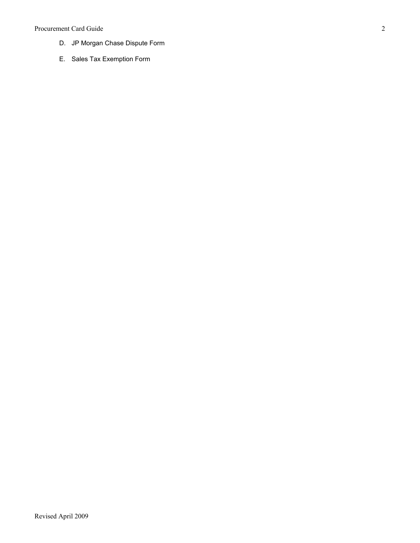### Procurement Card Guide

- D. JP Morgan Chase Dispute Form
- E. Sales Tax Exemption Form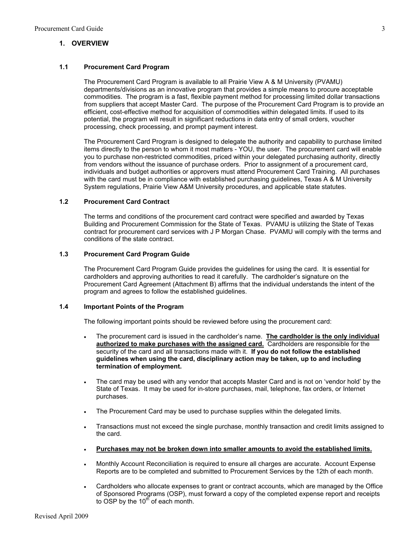### **1. OVERVIEW**

#### **1.1 Procurement Card Program**

The Procurement Card Program is available to all Prairie View A & M University (PVAMU) departments/divisions as an innovative program that provides a simple means to procure acceptable commodities. The program is a fast, flexible payment method for processing limited dollar transactions from suppliers that accept Master Card. The purpose of the Procurement Card Program is to provide an efficient, cost-effective method for acquisition of commodities within delegated limits. If used to its potential, the program will result in significant reductions in data entry of small orders, voucher processing, check processing, and prompt payment interest.

The Procurement Card Program is designed to delegate the authority and capability to purchase limited items directly to the person to whom it most matters - YOU, the user. The procurement card will enable you to purchase non-restricted commodities, priced within your delegated purchasing authority, directly from vendors without the issuance of purchase orders. Prior to assignment of a procurement card, individuals and budget authorities or approvers must attend Procurement Card Training. All purchases with the card must be in compliance with established purchasing guidelines, Texas A & M University System regulations, Prairie View A&M University procedures, and applicable state statutes.

### **1.2 Procurement Card Contract**

The terms and conditions of the procurement card contract were specified and awarded by Texas Building and Procurement Commission for the State of Texas. PVAMU is utilizing the State of Texas contract for procurement card services with J P Morgan Chase. PVAMU will comply with the terms and conditions of the state contract.

#### **1.3 Procurement Card Program Guide**

The Procurement Card Program Guide provides the guidelines for using the card. It is essential for cardholders and approving authorities to read it carefully. The cardholder's signature on the Procurement Card Agreement (Attachment B) affirms that the individual understands the intent of the program and agrees to follow the established guidelines.

#### **1.4 Important Points of the Program**

The following important points should be reviewed before using the procurement card:

- ! The procurement card is issued in the cardholder's name. **The cardholder is the only individual authorized to make purchases with the assigned card.** Cardholders are responsible for the security of the card and all transactions made with it. **If you do not follow the established guidelines when using the card, disciplinary action may be taken, up to and including termination of employment.**
- ! The card may be used with any vendor that accepts Master Card and is not on 'vendor hold' by the State of Texas. It may be used for in-store purchases, mail, telephone, fax orders, or Internet purchases.
- ! The Procurement Card may be used to purchase supplies within the delegated limits.
- ! Transactions must not exceed the single purchase, monthly transaction and credit limits assigned to the card.
- ! **Purchases may not be broken down into smaller amounts to avoid the established limits.**
- ! Monthly Account Reconciliation is required to ensure all charges are accurate. Account Expense Reports are to be completed and submitted to Procurement Services by the 12th of each month.
- Cardholders who allocate expenses to grant or contract accounts, which are managed by the Office of Sponsored Programs (OSP), must forward a copy of the completed expense report and receipts to OSP by the  $10^{t\bar{h}}$  of each month.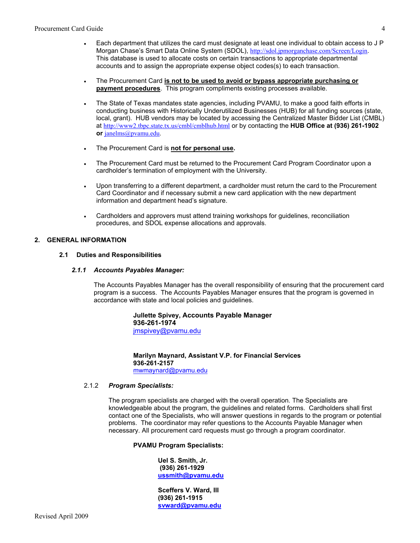- Each department that utilizes the card must designate at least one individual to obtain access to J P Morgan Chase's Smart Data Online System (SDOL), <http://sdol.jpmorganchase.com/Screen/Login>. This database is used to allocate costs on certain transactions to appropriate departmental accounts and to assign the appropriate expense object codes(s) to each transaction.
- ! The Procurement Card **is not to be used to avoid or bypass appropriate purchasing or payment procedures**. This program compliments existing processes available.
- ! The State of Texas mandates state agencies, including PVAMU, to make a good faith efforts in conducting business with Historically Underutilized Businesses (HUB) for all funding sources (state, local, grant). HUB vendors may be located by accessing the Centralized Master Bidder List (CMBL) at <http://www2.tbpc.state.tx.us/cmbl/cmblhub.html> or by contacting the **HUB Office at (936) 261-1902 or** [janelms@pvamu.edu.](mailto:janelms@pvamu.edu)
- ! The Procurement Card is **not for personal use.**
- ! The Procurement Card must be returned to the Procurement Card Program Coordinator upon a cardholder's termination of employment with the University.
- ! Upon transferring to a different department, a cardholder must return the card to the Procurement Card Coordinator and if necessary submit a new card application with the new department information and department head's signature.
- Cardholders and approvers must attend training workshops for guidelines, reconciliation procedures, and SDOL expense allocations and approvals.

#### **2. GENERAL INFORMATION**

#### **2.1 Duties and Responsibilities**

#### *2.1.1 Accounts Payables Manager:*

The Accounts Payables Manager has the overall responsibility of ensuring that the procurement card program is a success. The Accounts Payables Manager ensures that the program is governed in accordance with state and local policies and guidelines.

> **Jullette Spivey, Accounts Payable Manager 936-261-1974** [jmspivey@pvamu.edu](mailto:jmspivey@pvamu.edu)

**Marilyn Maynard, Assistant V.P. for Financial Services 936-261-2157** [mwmaynard@pvamu.edu](mailto:mwmaynard@pvamu.edu) 

#### 2.1.2 *Program Specialists:*

The program specialists are charged with the overall operation. The Specialists are knowledgeable about the program, the guidelines and related forms. Cardholders shall first contact one of the Specialists, who will answer questions in regards to the program or potential problems. The coordinator may refer questions to the Accounts Payable Manager when necessary. All procurement card requests must go through a program coordinator.

#### **PVAMU Program Specialists:**

**Uel S. Smith, Jr. (936) 261-1929 [ussmith@pvamu.edu](mailto:ussmith@pvamu.edu)** 

**Sceffers V. Ward, III (936) 261-1915 [svward@pvamu.edu](mailto:svward@pvamu.edu)**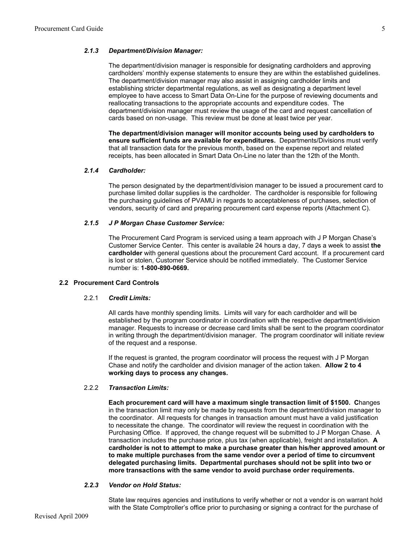#### *2.1.3 Department/Division Manager:*

The department/division manager is responsible for designating cardholders and approving cardholders' monthly expense statements to ensure they are within the established guidelines. The department/division manager may also assist in assigning cardholder limits and establishing stricter departmental regulations, as well as designating a department level employee to have access to Smart Data On-Line for the purpose of reviewing documents and reallocating transactions to the appropriate accounts and expenditure codes. The department/division manager must review the usage of the card and request cancellation of cards based on non-usage. This review must be done at least twice per year.

**The department/division manager will monitor accounts being used by cardholders to ensure sufficient funds are available for expenditures.** Departments/Divisions must verify that all transaction data for the previous month, based on the expense report and related receipts, has been allocated in Smart Data On-Line no later than the 12th of the Month.

#### *2.1.4 Cardholder:*

The person designated by the department/division manager to be issued a procurement card to purchase limited dollar supplies is the cardholder. The cardholder is responsible for following the purchasing guidelines of PVAMU in regards to acceptableness of purchases, selection of vendors, security of card and preparing procurement card expense reports (Attachment C).

#### *2.1.5 J P Morgan Chase Customer Service:*

The Procurement Card Program is serviced using a team approach with J P Morgan Chase's Customer Service Center. This center is available 24 hours a day, 7 days a week to assist **the cardholder** with general questions about the procurement Card account. If a procurement card is lost or stolen, Customer Service should be notified immediately. The Customer Service number is: **1-800-890-0669.** 

#### **2.2 Procurement Card Controls**

#### 2.2.1 *Credit Limits:*

All cards have monthly spending limits. Limits will vary for each cardholder and will be established by the program coordinator in coordination with the respective department/division manager. Requests to increase or decrease card limits shall be sent to the program coordinator in writing through the department/division manager. The program coordinator will initiate review of the request and a response.

If the request is granted, the program coordinator will process the request with J P Morgan Chase and notify the cardholder and division manager of the action taken. **Allow 2 to 4 working days to process any changes.**

#### 2.2.2 *Transaction Limits:*

**Each procurement card will have a maximum single transaction limit of \$1500. C**hanges in the transaction limit may only be made by requests from the department/division manager to the coordinator. All requests for changes in transaction amount must have a valid justification to necessitate the change. The coordinator will review the request in coordination with the Purchasing Office. If approved, the change request will be submitted to J P Morgan Chase. A transaction includes the purchase price, plus tax (when applicable), freight and installation. **A cardholder is not to attempt to make a purchase greater than his/her approved amount or to make multiple purchases from the same vendor over a period of time to circumvent delegated purchasing limits. Departmental purchases should not be split into two or more transactions with the same vendor to avoid purchase order requirements.** 

#### *2.2.3 Vendor on Hold Status:*

State law requires agencies and institutions to verify whether or not a vendor is on warrant hold with the State Comptroller's office prior to purchasing or signing a contract for the purchase of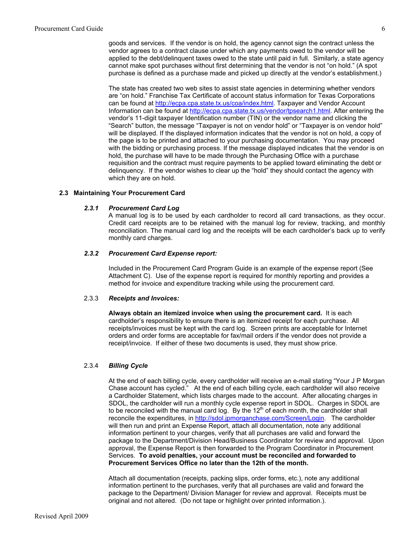goods and services. If the vendor is on hold, the agency cannot sign the contract unless the vendor agrees to a contract clause under which any payments owed to the vendor will be applied to the debt/delinquent taxes owed to the state until paid in full. Similarly, a state agency cannot make spot purchases without first determining that the vendor is not "on hold." (A spot purchase is defined as a purchase made and picked up directly at the vendor's establishment.)

The state has created two web sites to assist state agencies in determining whether vendors are "on hold." Franchise Tax Certificate of account status information for Texas Corporations can be found at [http://ecpa.cpa.state.tx.us/coa/index.html.](http://ecpa.cpa.state.tx.us/coa/index.html) Taxpayer and Vendor Account Information can be found at [http://ecpa.cpa.state.tx.us/vendor/tpsearch1.html.](http://ecpa.cpa.state.tx.us/vendor/tpsearch1.html) After entering the vendor's 11-digit taxpayer Identification number (TIN) or the vendor name and clicking the "Search" button, the message "Taxpayer is not on vendor hold" or "Taxpayer is on vendor hold" will be displayed. If the displayed information indicates that the vendor is not on hold, a copy of the page is to be printed and attached to your purchasing documentation. You may proceed with the bidding or purchasing process. If the message displayed indicates that the vendor is on hold, the purchase will have to be made through the Purchasing Office with a purchase requisition and the contract must require payments to be applied toward eliminating the debt or delinquency. If the vendor wishes to clear up the "hold" they should contact the agency with which they are on hold.

#### **2.3 Maintaining Your Procurement Card**

#### *2.3.1 Procurement Card Log*

A manual log is to be used by each cardholder to record all card transactions, as they occur. Credit card receipts are to be retained with the manual log for review, tracking, and monthly reconciliation. The manual card log and the receipts will be each cardholder's back up to verify monthly card charges.

#### *2.3.2 Procurement Card Expense report:*

Included in the Procurement Card Program Guide is an example of the expense report (See Attachment C). Use of the expense report is required for monthly reporting and provides a method for invoice and expenditure tracking while using the procurement card.

#### 2.3.3 *Receipts and Invoices:*

**Always obtain an itemized invoice when using the procurement card.** It is each cardholder's responsibility to ensure there is an itemized receipt for each purchase. All receipts/invoices must be kept with the card log. Screen prints are acceptable for Internet orders and order forms are acceptable for fax/mail orders if the vendor does not provide a receipt/invoice. If either of these two documents is used, they must show price.

#### 2.3.4 *Billing Cycle*

At the end of each billing cycle, every cardholder will receive an e-mail stating "Your J P Morgan Chase account has cycled." At the end of each billing cycle, each cardholder will also receive a Cardholder Statement, which lists charges made to the account. After allocating charges in SDOL, the cardholder will run a monthly cycle expense report in SDOL. Charges in SDOL are to be reconciled with the manual card log. By the  $12<sup>th</sup>$  of each month, the cardholder shall reconcile the expenditures, in [http://sdol.jpmorganchase.com/Screen/Login.](http://sdol.jpmorganchase.com/Screen/Login) The cardholder will then run and print an Expense Report, attach all documentation, note any additional information pertinent to your charges, verify that all purchases are valid and forward the package to the Department/Division Head/Business Coordinator for review and approval. Upon approval, the Expense Report is then forwarded to the Program Coordinator in Procurement Services. **To avoid penalties,** y**our account must be reconciled and forwarded to Procurement Services Office no later than the 12th of the month.** 

Attach all documentation (receipts, packing slips, order forms, etc.), note any additional information pertinent to the purchases, verify that all purchases are valid and forward the package to the Department/ Division Manager for review and approval. Receipts must be original and not altered. (Do not tape or highlight over printed information.).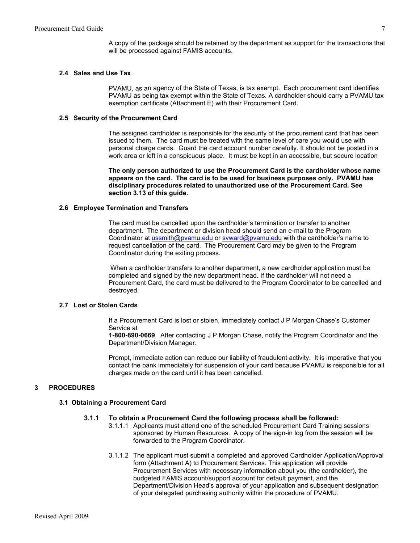A copy of the package should be retained by the department as support for the transactions that will be processed against FAMIS accounts.

#### **2.4 Sales and Use Tax**

PVAMU, as an agency of the State of Texas, is tax exempt. Each procurement card identifies PVAMU as being tax exempt within the State of Texas. A cardholder should carry a PVAMU tax exemption certificate (Attachment E) with their Procurement Card.

#### **2.5 Security of the Procurement Card**

The assigned cardholder is responsible for the security of the procurement card that has been issued to them. The card must be treated with the same level of care you would use with personal charge cards. Guard the card account number carefully. It should not be posted in a work area or left in a conspicuous place. It must be kept in an accessible, but secure location

**The only person authorized to use the Procurement Card is the cardholder whose name appears on the card. The card is to be used for business purposes only. PVAMU has disciplinary procedures related to unauthorized use of the Procurement Card. See section 3.13 of this guide.** 

#### **2.6 Employee Termination and Transfers**

The card must be cancelled upon the cardholder's termination or transfer to another department. The department or division head should send an e-mail to the Program Coordinator at [ussmith@pvamu.edu](mailto:ussmith@pvamu.edu) or [svward@pvamu.edu](mailto:svward@pvamu.edu) with the cardholder's name to request cancellation of the card. The Procurement Card may be given to the Program Coordinator during the exiting process.

 When a cardholder transfers to another department, a new cardholder application must be completed and signed by the new department head. If the cardholder will not need a Procurement Card, the card must be delivered to the Program Coordinator to be cancelled and destroyed.

#### **2.7 Lost or Stolen Cards**

If a Procurement Card is lost or stolen, immediately contact J P Morgan Chase's Customer Service at

**1-800-890-0669**. After contacting J P Morgan Chase, notify the Program Coordinator and the Department/Division Manager.

Prompt, immediate action can reduce our liability of fraudulent activity. It is imperative that you contact the bank immediately for suspension of your card because PVAMU is responsible for all charges made on the card until it has been cancelled.

#### **3 PROCEDURES**

#### **3.1 Obtaining a Procurement Card**

#### **3.1.1 To obtain a Procurement Card the following process shall be followed:**

- 3.1.1.1 Applicants must attend one of the scheduled Procurement Card Training sessions sponsored by Human Resources. A copy of the sign-in log from the session will be forwarded to the Program Coordinator.
- 3.1.1.2 The applicant must submit a completed and approved Cardholder Application/Approval form (Attachment A) to Procurement Services. This application will provide Procurement Services with necessary information about you (the cardholder), the budgeted FAMIS account/support account for default payment, and the Department/Division Head's approval of your application and subsequent designation of your delegated purchasing authority within the procedure of PVAMU.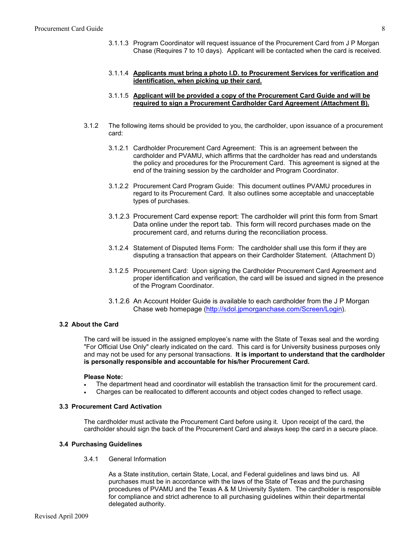3.1.1.3 Program Coordinator will request issuance of the Procurement Card from J P Morgan Chase (Requires 7 to 10 days). Applicant will be contacted when the card is received.

#### 3.1.1.4 **Applicants must bring a photo I.D. to Procurement Services for verification and identification, when picking up their card.**

#### 3.1.1.5 **Applicant will be provided a copy of the Procurement Card Guide and will be required to sign a Procurement Cardholder Card Agreement (Attachment B).**

- 3.1.2 The following items should be provided to you, the cardholder, upon issuance of a procurement card:
	- 3.1.2.1 Cardholder Procurement Card Agreement: This is an agreement between the cardholder and PVAMU, which affirms that the cardholder has read and understands the policy and procedures for the Procurement Card. This agreement is signed at the end of the training session by the cardholder and Program Coordinator.
	- 3.1.2.2 Procurement Card Program Guide: This document outlines PVAMU procedures in regard to its Procurement Card. It also outlines some acceptable and unacceptable types of purchases.
	- 3.1.2.3 Procurement Card expense report: The cardholder will print this form from Smart Data online under the report tab. This form will record purchases made on the procurement card, and returns during the reconciliation process.
	- 3.1.2.4 Statement of Disputed Items Form: The cardholder shall use this form if they are disputing a transaction that appears on their Cardholder Statement. (Attachment D)
	- 3.1.2.5 Procurement Card: Upon signing the Cardholder Procurement Card Agreement and proper identification and verification, the card will be issued and signed in the presence of the Program Coordinator.
	- 3.1.2.6 An Account Holder Guide is available to each cardholder from the J P Morgan Chase web homepage (<http://sdol.jpmorganchase.com/Screen/Login>).

#### **3.2 About the Card**

The card will be issued in the assigned employee's name with the State of Texas seal and the wording "For Official Use Only" clearly indicated on the card. This card is for University business purposes only and may not be used for any personal transactions. **It is important to understand that the cardholder is personally responsible and accountable for his/her Procurement Card.** 

#### **Please Note:**

- The department head and coordinator will establish the transaction limit for the procurement card.
- ! Charges can be reallocated to different accounts and object codes changed to reflect usage.

#### **3.3 Procurement Card Activation**

The cardholder must activate the Procurement Card before using it. Upon receipt of the card, the cardholder should sign the back of the Procurement Card and always keep the card in a secure place.

#### **3.4 Purchasing Guidelines**

3.4.1 General Information

As a State institution, certain State, Local, and Federal guidelines and laws bind us. All purchases must be in accordance with the laws of the State of Texas and the purchasing procedures of PVAMU and the Texas A & M University System. The cardholder is responsible for compliance and strict adherence to all purchasing guidelines within their departmental delegated authority.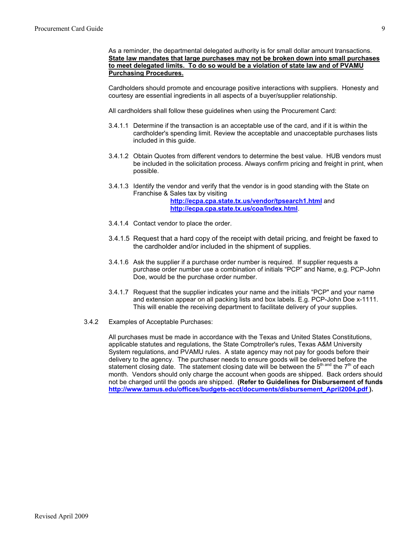As a reminder, the departmental delegated authority is for small dollar amount transactions. **State law mandates that large purchases may not be broken down into small purchases to meet delegated limits. To do so would be a violation of state law and of PVAMU Purchasing Procedures.**

Cardholders should promote and encourage positive interactions with suppliers. Honesty and courtesy are essential ingredients in all aspects of a buyer/supplier relationship.

All cardholders shall follow these guidelines when using the Procurement Card:

- 3.4.1.1 Determine if the transaction is an acceptable use of the card, and if it is within the cardholder's spending limit. Review the acceptable and unacceptable purchases lists included in this guide.
- 3.4.1.2 Obtain Quotes from different vendors to determine the best value. HUB vendors must be included in the solicitation process. Always confirm pricing and freight in print, when possible.
- 3.4.1.3 Identify the vendor and verify that the vendor is in good standing with the State on Franchise & Sales tax by visiting **<http://ecpa.cpa.state.tx.us/vendor/tpsearch1.html>** and **<http://ecpa.cpa.state.tx.us/coa/Index.html>**.
- 3.4.1.4 Contact vendor to place the order.
- 3.4.1.5 Request that a hard copy of the receipt with detail pricing, and freight be faxed to the cardholder and/or included in the shipment of supplies.
- 3.4.1.6 Ask the supplier if a purchase order number is required. If supplier requests a purchase order number use a combination of initials "PCP" and Name, e.g. PCP-John Doe, would be the purchase order number.
- 3.4.1.7 Request that the supplier indicates your name and the initials "PCP" and your name and extension appear on all packing lists and box labels. E.g. PCP-John Doe x-1111. This will enable the receiving department to facilitate delivery of your supplies.
- 3.4.2 Examples of Acceptable Purchases:

All purchases must be made in accordance with the Texas and United States Constitutions, applicable statutes and regulations, the State Comptroller's rules, Texas A&M University System regulations, and PVAMU rules. A state agency may not pay for goods before their delivery to the agency. The purchaser needs to ensure goods will be delivered before the statement closing date. The statement closing date will be between the  $5<sup>th</sup>$  and the  $7<sup>th</sup>$  of each month. Vendors should only charge the account when goods are shipped. Back orders should not be charged until the goods are shipped. **(Refer to Guidelines for Disbursement of funds [http://www.tamus.edu/offices/budgets-acct/documents/disbursement\\_April2004.pdf](http://www.tamus.edu/offices/budgets-acct/documents/disbursement_April2004.pdf) ).**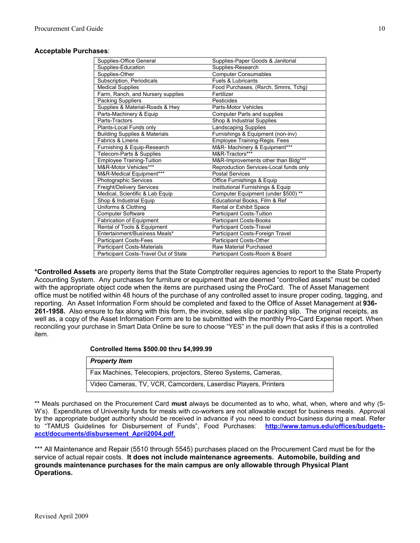#### **Acceptable Purchases**:

| Supplies-Office General                  | Supplies-Paper Goods & Janitorial      |
|------------------------------------------|----------------------------------------|
| Supplies-Education                       | Supplies-Research                      |
| Supplies-Other                           | <b>Computer Consumables</b>            |
| Subscription, Periodicals                | <b>Fuels &amp; Lubricants</b>          |
| <b>Medical Supplies</b>                  | Food Purchases, (Rsrch, Smnrs, Tchg)   |
| Farm, Ranch, and Nursery supplies        | Fertilizer                             |
| <b>Packing Suppliers</b>                 | Pesticides                             |
| Supplies & Material-Roads & Hwy          | <b>Parts-Motor Vehicles</b>            |
| Parts-Machinery & Equip                  | Computer Parts and supplies            |
| Parts-Tractors                           | Shop & Industrial Supplies             |
| Plants-Local Funds only                  | <b>Landscaping Supplies</b>            |
| <b>Building Supplies &amp; Materials</b> | Furnishings & Equipment (non-inv)      |
| Fabrics & Linens                         | Employee Training-Regis. Fees          |
| Furnishing & Equip-Research              | M&R- Machinery & Equipment***          |
| Telecom-Parts & Supplies                 | M&R-Tractors***                        |
| Employee Training-Tuition                | M&R-Improvements other than Bldg***    |
| M&R-Motor Vehicles***                    | Reproduction Services-Local funds only |
| M&R-Medical Equipment***                 | <b>Postal Services</b>                 |
| Photographic Services                    | Office Furnishings & Equip             |
| Freight/Delivery Services                | Institutional Furnishings & Equip      |
| Medical, Scientific & Lab Equip          | Computer Equipment (under \$500) **    |
| Shop & Industrial Equip                  | Educational Books, Film & Ref          |
| Uniforms & Clothing                      | Rental or Exhibit Space                |
| <b>Computer Software</b>                 | Participant Costs-Tuition              |
| <b>Fabrication of Equipment</b>          | <b>Participant Costs-Books</b>         |
| Rental of Tools & Equipment              | Participant Costs-Travel               |
| Entertainment/Business Meals*            | Participant Costs-Foreign Travel       |
| <b>Participant Costs-Fees</b>            | Participant Costs-Other                |
| <b>Participant Costs-Materials</b>       | Raw Material Purchased                 |
| Participant Costs-Travel Out of State    | Participant Costs-Room & Board         |

**\*Controlled Assets** are property items that the State Comptroller requires agencies to report to the State Property Accounting System. Any purchases for furniture or equipment that are deemed "controlled assets" must be coded with the appropriate object code when the items are purchased using the ProCard. The of Asset Management office must be notified within 48 hours of the purchase of any controlled asset to insure proper coding, tagging, and reporting. An Asset Information Form should be completed and faxed to the Office of Asset Management at **936- 261-1958.** Also ensure to fax along with this form, the invoice, sales slip or packing slip. The original receipts, as well as, a copy of the Asset Information Form are to be submitted with the monthly Pro-Card Expense report. When reconciling your purchase in Smart Data Online be sure to choose "YES" in the pull down that asks if this is a controlled item.

#### **Controlled Items \$500.00 thru \$4,999.99**

| <b>Property Item</b>                                            |
|-----------------------------------------------------------------|
| Fax Machines, Telecopiers, projectors, Stereo Systems, Cameras, |
| Video Cameras, TV, VCR, Camcorders, Laserdisc Players, Printers |

\*\* Meals purchased on the Procurement Card **must** always be documented as to who, what, when, where and why (5- W's). Expenditures of University funds for meals with co-workers are not allowable except for business meals. Approval by the appropriate budget authority should be received in advance if you need to conduct business during a meal. Refer to "TAMUS Guidelines for Disbursement of Funds", Food Purchases: **[http://www.tamus.edu/offices/budgets](http://www.tamus.edu/offices/budgets-acct/documents/disbursement_April2004.pdf)[acct/documents/disbursement\\_April2004.pdf](http://www.tamus.edu/offices/budgets-acct/documents/disbursement_April2004.pdf)**.

\*\*\* All Maintenance and Repair (5510 through 5545) purchases placed on the Procurement Card must be for the service of actual repair costs. **It does not include maintenance agreements. Automobile, building and grounds maintenance purchases for the main campus are only allowable through Physical Plant Operations.**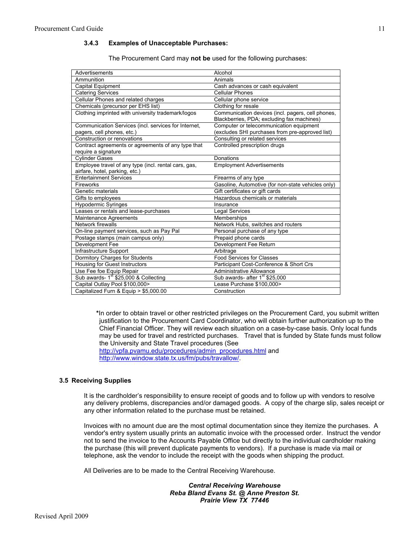#### **3.4.3 Examples of Unacceptable Purchases:**

The Procurement Card may **not be** used for the following purchases:

| Advertisements                                       | Alcohol                                            |
|------------------------------------------------------|----------------------------------------------------|
| Ammunition                                           | Animals                                            |
| Capital Equipment                                    | Cash advances or cash equivalent                   |
| <b>Catering Services</b>                             | <b>Cellular Phones</b>                             |
| Cellular Phones and related charges                  | Cellular phone service                             |
| Chemicals (precursor per EHS list)                   | Clothing for resale                                |
| Clothing imprinted with university trademark/logos   | Communication devices (incl. pagers, cell phones,  |
|                                                      | Blackberries, PDA; excluding fax machines)         |
| Communication Services (incl. services for Internet, | Computer or telecommunication equipment            |
| pagers, cell phones, etc.)                           | (excludes SHI purchases from pre-approved list)    |
| Construction or renovations                          | Consulting or related services                     |
| Contract agreements or agreements of any type that   | Controlled prescription drugs                      |
| require a signature                                  |                                                    |
| <b>Cylinder Gases</b>                                | Donations                                          |
| Employee travel of any type (incl. rental cars, gas, | <b>Employment Advertisements</b>                   |
| airfare, hotel, parking, etc.)                       |                                                    |
| <b>Entertainment Services</b>                        | Firearms of any type                               |
| Fireworks                                            | Gasoline, Automotive (for non-state vehicles only) |
| Genetic materials                                    | Gift certificates or gift cards                    |
| Gifts to employees                                   | Hazardous chemicals or materials                   |
| <b>Hypodermic Syringes</b>                           | Insurance                                          |
| Leases or rentals and lease-purchases                | <b>Legal Services</b>                              |
| <b>Maintenance Agreements</b>                        | Memberships                                        |
| Network firewalls                                    | Network Hubs, switches and routers                 |
| On-line payment services, such as Pay Pal            | Personal purchase of any type                      |
| Postage stamps (main campus only)                    | Prepaid phone cards                                |
| Development Fee                                      | Development Fee Return                             |
| Infrastructure Support                               | Arbitrage                                          |
| Dormitory Charges for Students                       | <b>Food Services for Classes</b>                   |
| <b>Housing for Guest Instructors</b>                 | Participant Cost-Conference & Short Crs            |
| Use Fee foe Equip Repair                             | <b>Administrative Allowance</b>                    |
| Sub awards- 1 <sup>st</sup> \$25,000 & Collecting    | Sub awards- after 1 <sup>st</sup> \$25,000         |
| Capital Outlay Pool \$100,000>                       | Lease Purchase \$100,000>                          |
| Capitalized Furn & Equip > \$5,000.00                | Construction                                       |

**\***In order to obtain travel or other restricted privileges on the Procurement Card, you submit written justification to the Procurement Card Coordinator, who will obtain further authorization up to the Chief Financial Officer. They will review each situation on a case-by-case basis. Only local funds may be used for travel and restricted purchases. Travel that is funded by State funds must follow the University and State Travel procedures (See

[http://vpfa.pvamu.edu/procedures/admin\\_procedures.html](http://vpfa.pvamu.edu/procedures/admin_procedures.html) and [http://www.window.state.tx.us/fm/pubs/travallow/.](http://www.window.state.tx.us/fm/pubs/travallow/)

#### **3.5 Receiving Supplies**

It is the cardholder's responsibility to ensure receipt of goods and to follow up with vendors to resolve any delivery problems, discrepancies and/or damaged goods. A copy of the charge slip, sales receipt or any other information related to the purchase must be retained.

Invoices with no amount due are the most optimal documentation since they itemize the purchases. A vendor's entry system usually prints an automatic invoice with the processed order. Instruct the vendor not to send the invoice to the Accounts Payable Office but directly to the individual cardholder making the purchase (this will prevent duplicate payments to vendors). If a purchase is made via mail or telephone, ask the vendor to include the receipt with the goods when shipping the product.

All Deliveries are to be made to the Central Receiving Warehouse.

*Central Receiving Warehouse Reba Bland Evans St. @ Anne Preston St. Prairie View TX 77446* 

11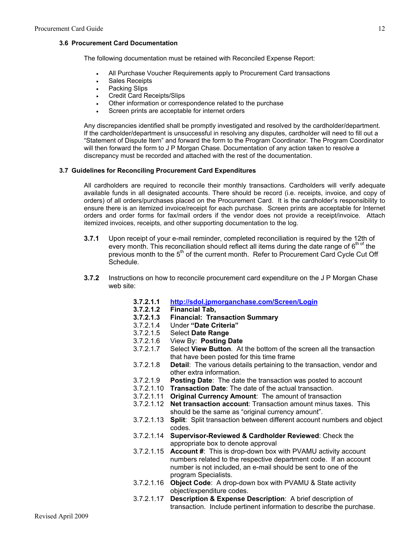#### **3.6 Procurement Card Documentation**

The following documentation must be retained with Reconciled Expense Report:

- ! All Purchase Voucher Requirements apply to Procurement Card transactions
- . Sales Receipts
- Packing Slips
- Credit Card Receipts/Slips
- ! Other information or correspondence related to the purchase
- Screen prints are acceptable for internet orders

Any discrepancies identified shall be promptly investigated and resolved by the cardholder/department. If the cardholder/department is unsuccessful in resolving any disputes, cardholder will need to fill out a "Statement of Dispute Item" and forward the form to the Program Coordinator. The Program Coordinator will then forward the form to J P Morgan Chase. Documentation of any action taken to resolve a discrepancy must be recorded and attached with the rest of the documentation.

#### **3.7 Guidelines for Reconciling Procurement Card Expenditures**

All cardholders are required to reconcile their monthly transactions. Cardholders will verify adequate available funds in all designated accounts. There should be record (i.e. receipts, invoice, and copy of orders) of all orders/purchases placed on the Procurement Card. It is the cardholder's responsibility to ensure there is an itemized invoice/receipt for each purchase. Screen prints are acceptable for Internet orders and order forms for fax/mail orders if the vendor does not provide a receipt/invoice. Attach itemized invoices, receipts, and other supporting documentation to the log.

- **3.7.1** Upon receipt of your e-mail reminder, completed reconciliation is required by the 12th of every month. This reconciliation should reflect all items during the date range of  $6<sup>th of</sup>$  the previous month to the 5<sup>th</sup> of the current month. Refer to Procurement Card Cycle Cut Off Schedule.
- **3.7.2** Instructions on how to reconcile procurement card expenditure on the J P Morgan Chase web site:
	- **3.7.2.1.1 <http://sdol.jpmorganchase.com/Screen/Login>**
	- **3.7.2.1.2 Financial Tab,**
	- **3.7.2.1.3 Financial: Transaction Summary**
	- 3.7.2.1.4 Under **"Date Criteria"**
	- 3.7.2.1.5 Select **Date Range**
	- 3.7.2.1.6 View By: **Posting Date**
	- 3.7.2.1.7 Select **View Button**. At the bottom of the screen all the transaction that have been posted for this time frame
	- 3.7.2.1.8 **Detail**: The various details pertaining to the transaction, vendor and other extra information.
	- 3.7.2.1.9 **Posting Date**: The date the transaction was posted to account
	- 3.7.2.1.10 **Transaction Date**: The date of the actual transaction.
	- 3.7.2.1.11 **Original Currency Amount**: The amount of transaction
	- 3.7.2.1.12 **Net transaction account**: Transaction amount minus taxes. This should be the same as "original currency amount".
	- 3.7.2.1.13 **Split**: Split transaction between different account numbers and object codes.
	- 3.7.2.1.14 **Supervisor-Reviewed & Cardholder Reviewed**: Check the appropriate box to denote approval
	- 3.7.2.1.15 **Account #**: This is drop-down box with PVAMU activity account numbers related to the respective department code. If an account number is not included, an e-mail should be sent to one of the program Specialists.
	- 3.7.2.1.16 **Object Code**: A drop-down box with PVAMU & State activity object/expenditure codes.
	- 3.7.2.1.17 **Description & Expense Description**: A brief description of transaction. Include pertinent information to describe the purchase.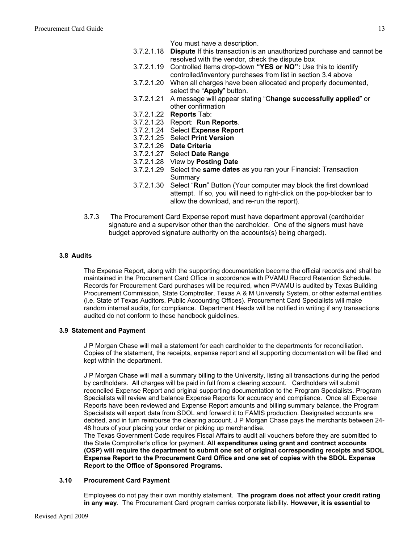#### You must have a description.

- 3.7.2.1.18 **Dispute** If this transaction is an unauthorized purchase and cannot be resolved with the vendor, check the dispute box
- 3.7.2.1.19 Controlled Items drop-down **"YES or NO":** Use this to identify controlled/inventory purchases from list in section 3.4 above
- 3.7.2.1.20 When all charges have been allocated and properly documented, select the "**Apply**" button.
- 3.7.2.1.21 A message will appear stating "C**hange successfully applied**" or other confirmation
- 3.7.2.1.22 **Reports** Tab:
- 3.7.2.1.23 Report: **Run Reports**.
- 3.7.2.1.24 Select **Expense Report**
- 3.7.2.1.25 Select **Print Version**
- 3.7.2.1.26 **Date Criteria**
- 3.7.2.1.27 Select **Date Range**
- 3.7.2.1.28 View by **Posting Date**
- 3.7.2.1.29 Select the **same dates** as you ran your Financial: Transaction Summary
- 3.7.2.1.30 Select "**Run**" Button (Your computer may block the first download attempt. If so, you will need to right-click on the pop-blocker bar to allow the download, and re-run the report).
- 3.7.3 The Procurement Card Expense report must have department approval (cardholder signature and a supervisor other than the cardholder. One of the signers must have budget approved signature authority on the accounts(s) being charged).

#### **3.8 Audits**

The Expense Report, along with the supporting documentation become the official records and shall be maintained in the Procurement Card Office in accordance with PVAMU Record Retention Schedule. Records for Procurement Card purchases will be required, when PVAMU is audited by Texas Building Procurement Commission, State Comptroller, Texas A & M University System, or other external entities (i.e. State of Texas Auditors, Public Accounting Offices). Procurement Card Specialists will make random internal audits, for compliance. Department Heads will be notified in writing if any transactions audited do not conform to these handbook guidelines.

#### **3.9 Statement and Payment**

J P Morgan Chase will mail a statement for each cardholder to the departments for reconciliation. Copies of the statement, the receipts, expense report and all supporting documentation will be filed and kept within the department.

J P Morgan Chase will mail a summary billing to the University, listing all transactions during the period by cardholders. All charges will be paid in full from a clearing account. Cardholders will submit reconciled Expense Report and original supporting documentation to the Program Specialists. Program Specialists will review and balance Expense Reports for accuracy and compliance. Once all Expense Reports have been reviewed and Expense Report amounts and billing summary balance, the Program Specialists will export data from SDOL and forward it to FAMIS production. Designated accounts are debited, and in turn reimburse the clearing account. J P Morgan Chase pays the merchants between 24- 48 hours of your placing your order or picking up merchandise.

The Texas Government Code requires Fiscal Affairs to audit all vouchers before they are submitted to the State Comptroller's office for payment. **All expenditures using grant and contract accounts (OSP) will require the department to submit one set of original corresponding receipts and SDOL Expense Report to the Procurement Card Office and one set of copies with the SDOL Expense Report to the Office of Sponsored Programs.** 

#### **3.10 Procurement Card Payment**

Employees do not pay their own monthly statement. **The program does not affect your credit rating in any way**. The Procurement Card program carries corporate liability. **However, it is essential to**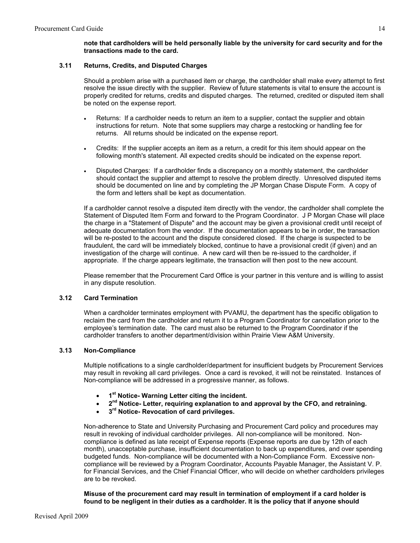#### **note that cardholders will be held personally liable by the university for card security and for the transactions made to the card.**

### **3.11 Returns, Credits, and Disputed Charges**

Should a problem arise with a purchased item or charge, the cardholder shall make every attempt to first resolve the issue directly with the supplier. Review of future statements is vital to ensure the account is properly credited for returns, credits and disputed charges. The returned, credited or disputed item shall be noted on the expense report.

- Returns: If a cardholder needs to return an item to a supplier, contact the supplier and obtain instructions for return. Note that some suppliers may charge a restocking or handling fee for returns. All returns should be indicated on the expense report.
- ! Credits: If the supplier accepts an item as a return, a credit for this item should appear on the following month's statement. All expected credits should be indicated on the expense report.
- ! Disputed Charges: If a cardholder finds a discrepancy on a monthly statement, the cardholder should contact the supplier and attempt to resolve the problem directly. Unresolved disputed items should be documented on line and by completing the JP Morgan Chase Dispute Form. A copy of the form and letters shall be kept as documentation.

If a cardholder cannot resolve a disputed item directly with the vendor, the cardholder shall complete the Statement of Disputed Item Form and forward to the Program Coordinator. J P Morgan Chase will place the charge in a "Statement of Dispute" and the account may be given a provisional credit until receipt of adequate documentation from the vendor. If the documentation appears to be in order, the transaction will be re-posted to the account and the dispute considered closed. If the charge is suspected to be fraudulent, the card will be immediately blocked, continue to have a provisional credit (if given) and an investigation of the charge will continue. A new card will then be re-issued to the cardholder, if appropriate. If the charge appears legitimate, the transaction will then post to the new account.

Please remember that the Procurement Card Office is your partner in this venture and is willing to assist in any dispute resolution.

#### **3.12 Card Termination**

When a cardholder terminates employment with PVAMU, the department has the specific obligation to reclaim the card from the cardholder and return it to a Program Coordinator for cancellation prior to the employee's termination date. The card must also be returned to the Program Coordinator if the cardholder transfers to another department/division within Prairie View A&M University.

#### **3.13 Non-Compliance**

Multiple notifications to a single cardholder/department for insufficient budgets by Procurement Services may result in revoking all card privileges. Once a card is revoked, it will not be reinstated. Instances of Non-compliance will be addressed in a progressive manner, as follows.

- ! **1st Notice- Warning Letter citing the incident.**
- ! **2nd Notice- Letter, requiring explanation to and approval by the CFO, and retraining.**
- ! **3rd Notice- Revocation of card privileges.**

Non-adherence to State and University Purchasing and Procurement Card policy and procedures may result in revoking of individual cardholder privileges. All non-compliance will be monitored. Noncompliance is defined as late receipt of Expense reports (Expense reports are due by 12th of each month), unacceptable purchase, insufficient documentation to back up expenditures, and over spending budgeted funds. Non-compliance will be documented with a Non-Compliance Form. Excessive noncompliance will be reviewed by a Program Coordinator, Accounts Payable Manager, the Assistant V. P. for Financial Services, and the Chief Financial Officer, who will decide on whether cardholders privileges are to be revoked.

**Misuse of the procurement card may result in termination of employment if a card holder is found to be negligent in their duties as a cardholder. It is the policy that if anyone should**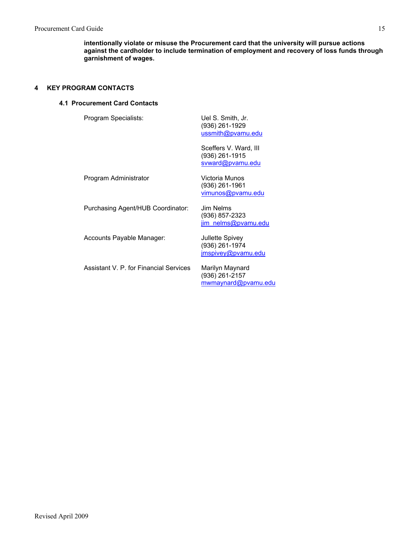**intentionally violate or misuse the Procurement card that the university will pursue actions against the cardholder to include termination of employment and recovery of loss funds through garnishment of wages.** 

### **4 KEY PROGRAM CONTACTS**

#### **4.1 Procurement Card Contacts**

| Program Specialists:                   | Uel S. Smith, Jr.<br>(936) 261-1929<br>ussmith@pvamu.edu    |
|----------------------------------------|-------------------------------------------------------------|
|                                        | Sceffers V. Ward, III<br>(936) 261-1915<br>svward@pvamu.edu |
| Program Administrator                  | Victoria Munos<br>(936) 261-1961<br>vimunos@pvamu.edu       |
| Purchasing Agent/HUB Coordinator:      | Jim Nelms<br>(936) 857-2323<br>jim nelms@pvamu.edu          |
| Accounts Payable Manager:              | Jullette Spivey<br>(936) 261-1974<br>jmspivey@pvamu.edu     |
| Assistant V. P. for Financial Services | Marilyn Maynard<br>(936) 261-2157<br>mwmaynard@pvamu.edu    |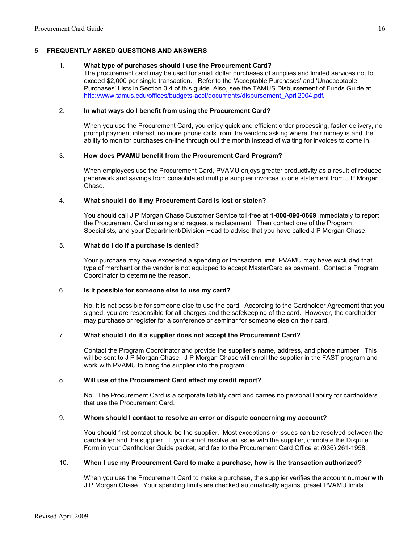#### **5 FREQUENTLY ASKED QUESTIONS AND ANSWERS**

#### 1. **What type of purchases should I use the Procurement Card?**

The procurement card may be used for small dollar purchases of supplies and limited services not to exceed \$2,000 per single transaction. Refer to the 'Acceptable Purchases' and 'Unacceptable Purchases' Lists in Section 3.4 of this guide. Also, see the TAMUS Disbursement of Funds Guide at [http://www.tamus.edu/offices/budgets-acct/documents/disbursement\\_April2004.pdf](http://www.tamus.edu/offices/budgets-acct/documents/disbursement_April2004.pdf)**.** 

#### 2. **In what ways do I benefit from using the Procurement Card?**

When you use the Procurement Card, you enjoy quick and efficient order processing, faster delivery, no prompt payment interest, no more phone calls from the vendors asking where their money is and the ability to monitor purchases on-line through out the month instead of waiting for invoices to come in.

#### 3. **How does PVAMU benefit from the Procurement Card Program?**

When employees use the Procurement Card, PVAMU enjoys greater productivity as a result of reduced paperwork and savings from consolidated multiple supplier invoices to one statement from J P Morgan Chase.

#### 4. **What should I do if my Procurement Card is lost or stolen?**

You should call J P Morgan Chase Customer Service toll-free at **1-800-890-0669** immediately to report the Procurement Card missing and request a replacement. Then contact one of the Program Specialists, and your Department/Division Head to advise that you have called J P Morgan Chase.

#### 5. **What do I do if a purchase is denied?**

Your purchase may have exceeded a spending or transaction limit, PVAMU may have excluded that type of merchant or the vendor is not equipped to accept MasterCard as payment. Contact a Program Coordinator to determine the reason.

#### 6. **Is it possible for someone else to use my card?**

No, it is not possible for someone else to use the card. According to the Cardholder Agreement that you signed, you are responsible for all charges and the safekeeping of the card. However, the cardholder may purchase or register for a conference or seminar for someone else on their card.

#### 7. **What should I do if a supplier does not accept the Procurement Card?**

Contact the Program Coordinator and provide the supplier's name, address, and phone number. This will be sent to J P Morgan Chase. J P Morgan Chase will enroll the supplier in the FAST program and work with PVAMU to bring the supplier into the program.

#### 8. **Will use of the Procurement Card affect my credit report?**

No. The Procurement Card is a corporate liability card and carries no personal liability for cardholders that use the Procurement Card.

#### 9. **Whom should I contact to resolve an error or dispute concerning my account?**

You should first contact should be the supplier. Most exceptions or issues can be resolved between the cardholder and the supplier. If you cannot resolve an issue with the supplier, complete the Dispute Form in your Cardholder Guide packet, and fax to the Procurement Card Office at (936) 261-1958.

#### 10. **When I use my Procurement Card to make a purchase, how is the transaction authorized?**

When you use the Procurement Card to make a purchase, the supplier verifies the account number with J P Morgan Chase. Your spending limits are checked automatically against preset PVAMU limits.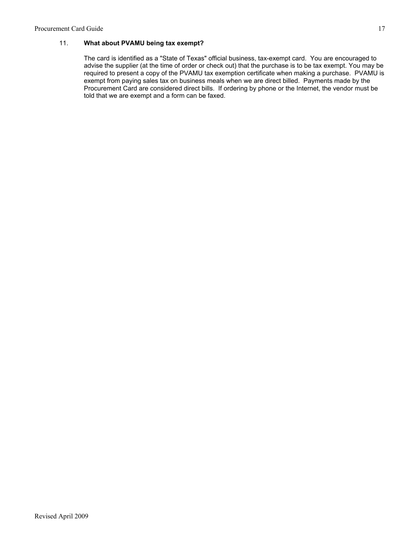## 11. **What about PVAMU being tax exempt?**

The card is identified as a "State of Texas" official business, tax-exempt card. You are encouraged to advise the supplier (at the time of order or check out) that the purchase is to be tax exempt. You may be required to present a copy of the PVAMU tax exemption certificate when making a purchase. PVAMU is exempt from paying sales tax on business meals when we are direct billed. Payments made by the Procurement Card are considered direct bills. If ordering by phone or the Internet, the vendor must be told that we are exempt and a form can be faxed.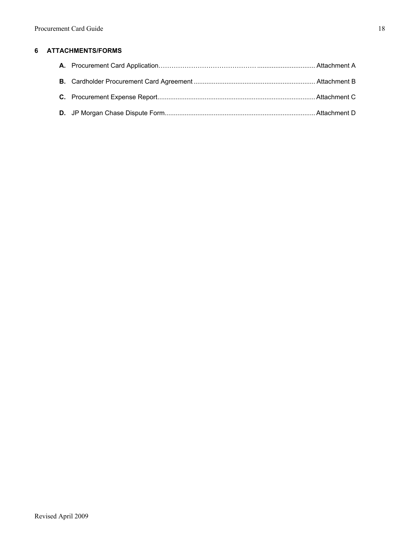# **6 ATTACHMENTS/FORMS**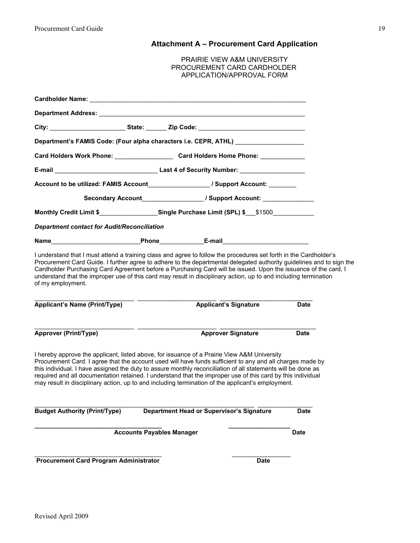# **Attachment A – Procurement Card Application**

| <b>PRAIRIE VIEW A&amp;M UNIVERSITY</b> |
|----------------------------------------|
| PROCUREMENT CARD CARDHOLDER            |
| APPLICATION/APPROVAL FORM              |

|                                                                                                                                                                                                             | Department's FAMIS Code: (Four alpha characters i.e. CEPR, ATHL) _______________                                                                                                                                                                                                                                                                                                                                                                                                                                                             |             |
|-------------------------------------------------------------------------------------------------------------------------------------------------------------------------------------------------------------|----------------------------------------------------------------------------------------------------------------------------------------------------------------------------------------------------------------------------------------------------------------------------------------------------------------------------------------------------------------------------------------------------------------------------------------------------------------------------------------------------------------------------------------------|-------------|
|                                                                                                                                                                                                             | Card Holders Work Phone: _______________________Card Holders Home Phone: _____________                                                                                                                                                                                                                                                                                                                                                                                                                                                       |             |
|                                                                                                                                                                                                             |                                                                                                                                                                                                                                                                                                                                                                                                                                                                                                                                              |             |
|                                                                                                                                                                                                             | Account to be utilized: FAMIS Account The Manuscript of Support Account:                                                                                                                                                                                                                                                                                                                                                                                                                                                                     |             |
|                                                                                                                                                                                                             |                                                                                                                                                                                                                                                                                                                                                                                                                                                                                                                                              |             |
|                                                                                                                                                                                                             | Monthly Credit Limit \$________________Single Purchase Limit (SPL) \$__\$1500__________                                                                                                                                                                                                                                                                                                                                                                                                                                                      |             |
| <b>Department contact for Audit/Reconciliation</b>                                                                                                                                                          |                                                                                                                                                                                                                                                                                                                                                                                                                                                                                                                                              |             |
|                                                                                                                                                                                                             |                                                                                                                                                                                                                                                                                                                                                                                                                                                                                                                                              |             |
|                                                                                                                                                                                                             | I understand that I must attend a training class and agree to follow the procedures set forth in the Cardholder's<br>Procurement Card Guide. I further agree to adhere to the departmental delegated authority guidelines and to sign the<br>Cardholder Purchasing Card Agreement before a Purchasing Card will be issued. Upon the issuance of the card, I<br>understand that the improper use of this card may result in disciplinary action, up to and including termination                                                              |             |
|                                                                                                                                                                                                             | <b>Applicant's Signature</b>                                                                                                                                                                                                                                                                                                                                                                                                                                                                                                                 | <b>Date</b> |
| Name Phone B-mail Phone Demondant Phone Demondant Phone Demondant Phone Demondant Phone Demondant Phone Demond<br>of my employment.<br><b>Applicant's Name (Print/Type)</b><br><b>Approver (Print/Type)</b> | <b>Approver Signature</b>                                                                                                                                                                                                                                                                                                                                                                                                                                                                                                                    | <b>Date</b> |
|                                                                                                                                                                                                             | I hereby approve the applicant, listed above, for issuance of a Prairie View A&M University<br>Procurement Card. I agree that the account used will have funds sufficient to any and all charges made by<br>this individual. I have assigned the duty to assure monthly reconciliation of all statements will be done as<br>required and all documentation retained. I understand that the improper use of this card by this individual<br>may result in disciplinary action, up to and including termination of the applicant's employment. |             |
| <b>Budget Authority (Print/Type)</b>                                                                                                                                                                        | <b>Department Head or Supervisor's Signature</b>                                                                                                                                                                                                                                                                                                                                                                                                                                                                                             | <b>Date</b> |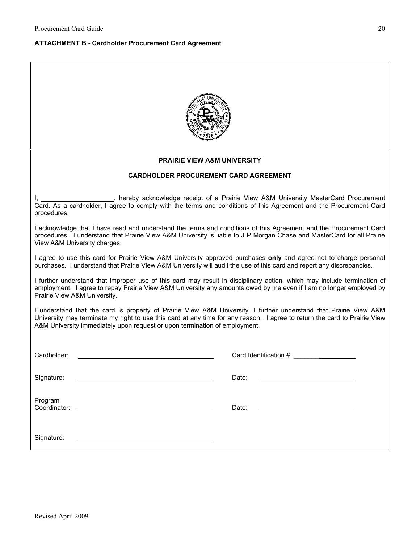#### **ATTACHMENT B - Cardholder Procurement Card Agreement**

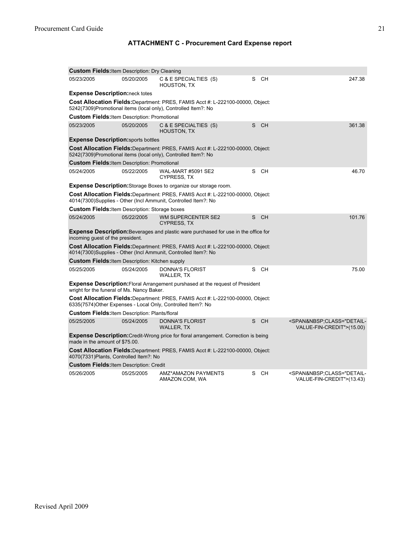# **ATTACHMENT C - Procurement Card Expense report**

| <b>Custom Fields: Item Description: Dry Cleaning</b>                                                                                                     |            |                                                                                                                                                          |                 |                                                                                         |  |  |
|----------------------------------------------------------------------------------------------------------------------------------------------------------|------------|----------------------------------------------------------------------------------------------------------------------------------------------------------|-----------------|-----------------------------------------------------------------------------------------|--|--|
| 05/23/2005                                                                                                                                               | 05/20/2005 | C & E SPECIALTIES (S)<br>HOUSTON, TX                                                                                                                     | <b>CH</b><br>S  | 247.38                                                                                  |  |  |
| <b>Expense Description:</b> neck totes                                                                                                                   |            |                                                                                                                                                          |                 |                                                                                         |  |  |
| <b>Cost Allocation Fields:</b> Department: PRES, FAMIS Acct #: L-222100-00000, Object:<br>5242(7309)Promotional items (local only), Controlled Item?: No |            |                                                                                                                                                          |                 |                                                                                         |  |  |
| <b>Custom Fields: Item Description: Promotional</b>                                                                                                      |            |                                                                                                                                                          |                 |                                                                                         |  |  |
| 05/23/2005                                                                                                                                               | 05/20/2005 | C & E SPECIALTIES (S)<br><b>HOUSTON, TX</b>                                                                                                              | <b>CH</b><br>S. | 361.38                                                                                  |  |  |
| <b>Expense Description:</b> sports bottles                                                                                                               |            |                                                                                                                                                          |                 |                                                                                         |  |  |
|                                                                                                                                                          |            | Cost Allocation Fields: Department: PRES, FAMIS Acct #: L-222100-00000, Object:<br>5242(7309)Promotional items (local only), Controlled Item?: No        |                 |                                                                                         |  |  |
| <b>Custom Fields: Item Description: Promotional</b>                                                                                                      |            |                                                                                                                                                          |                 |                                                                                         |  |  |
| 05/24/2005                                                                                                                                               | 05/22/2005 | WAL-MART #5091 SE2<br><b>CYPRESS, TX</b>                                                                                                                 | <b>CH</b><br>S  | 46.70                                                                                   |  |  |
|                                                                                                                                                          |            | <b>Expense Description:</b> Storage Boxes to organize our storage room.                                                                                  |                 |                                                                                         |  |  |
|                                                                                                                                                          |            | <b>Cost Allocation Fields:</b> Department: PRES, FAMIS Acct #: L-222100-00000, Object:<br>4014(7300)Supplies - Other (Incl Ammunit, Controlled Item?: No |                 |                                                                                         |  |  |
| <b>Custom Fields: Item Description: Storage boxes</b>                                                                                                    |            |                                                                                                                                                          |                 |                                                                                         |  |  |
| 05/24/2005                                                                                                                                               | 05/22/2005 | <b>WM SUPERCENTER SE2</b><br><b>CYPRESS, TX</b>                                                                                                          | S.<br><b>CH</b> | 101.76                                                                                  |  |  |
| incoming guest of the president.                                                                                                                         |            | <b>Expense Description:</b> Beverages and plastic ware purchased for use in the office for                                                               |                 |                                                                                         |  |  |
|                                                                                                                                                          |            | <b>Cost Allocation Fields:</b> Department: PRES, FAMIS Acct #: L-222100-00000, Object:<br>4014(7300)Supplies - Other (Incl Ammunit, Controlled Item?: No |                 |                                                                                         |  |  |
| <b>Custom Fields: Item Description: Kitchen supply</b>                                                                                                   |            |                                                                                                                                                          |                 |                                                                                         |  |  |
| 05/25/2005                                                                                                                                               | 05/24/2005 | DONNA'S FLORIST<br><b>WALLER, TX</b>                                                                                                                     | S CH            | 75.00                                                                                   |  |  |
| <b>Expense Description:</b> Floral Arrangement purshased at the request of President<br>wright for the funeral of Ms. Nancy Baker.                       |            |                                                                                                                                                          |                 |                                                                                         |  |  |
| <b>Cost Allocation Fields:</b> Department: PRES, FAMIS Acct #: L-222100-00000, Object:<br>6335(7574) Other Expenses - Local Only, Controlled Item?: No   |            |                                                                                                                                                          |                 |                                                                                         |  |  |
| <b>Custom Fields: Item Description: Plants/floral</b>                                                                                                    |            |                                                                                                                                                          |                 |                                                                                         |  |  |
| 05/25/2005                                                                                                                                               | 05/24/2005 | <b>DONNA'S FLORIST</b><br><b>WALLER, TX</b>                                                                                                              | S<br><b>CH</b>  | <span&nbsp;class="detail-<br>VALUE-FIN-CREDIT"&gt;(15.00)</span&nbsp;class="detail-<br> |  |  |
| <b>Expense Description:</b> Credit-Wrong price for floral arrangement. Correction is being<br>made in the amount of \$75.00.                             |            |                                                                                                                                                          |                 |                                                                                         |  |  |
| Cost Allocation Fields: Department: PRES, FAMIS Acct #: L-222100-00000, Object:<br>4070(7331) Plants, Controlled Item?: No                               |            |                                                                                                                                                          |                 |                                                                                         |  |  |
| <b>Custom Fields: Item Description: Credit</b>                                                                                                           |            |                                                                                                                                                          |                 |                                                                                         |  |  |
| 05/26/2005                                                                                                                                               | 05/25/2005 | AMZ*AMAZON PAYMENTS<br>AMAZON.COM, WA                                                                                                                    | S<br>CH.        | <span&nbsp;class="detail-<br>VALUE-FIN-CREDIT"&gt;(13.43)</span&nbsp;class="detail-<br> |  |  |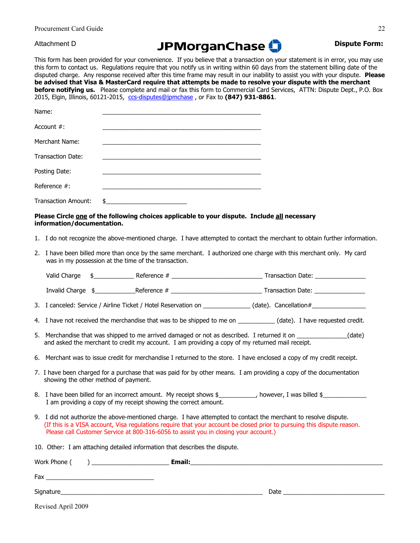Procurement Card Guide

# Attachment D **Dispute Form: Dispute Form: Dispute Form:**

This form has been provided for your convenience. If you believe that a transaction on your statement is in error, you may use this form to contact us. Regulations require that you notify us in writing within 60 days from the statement billing date of the disputed charge. Any response received after this time frame may result in our inability to assist you with your dispute. **Please be advised that Visa & MasterCard require that attempts be made to resolve your dispute with the merchant before notifying us.** Please complete and mail or fax this form to Commercial Card Services, ATTN: Dispute Dept., P.O. Box 2015, Elgin, Illinois, 60121-2015, [ccs-disputes@jpmchase](mailto:CCS-Disputes@Chase.com) , or Fax to **(847) 931-8861**.

| Name:                      |     |
|----------------------------|-----|
| Account $#$ :              |     |
| Merchant Name:             |     |
| <b>Transaction Date:</b>   |     |
| Posting Date:              |     |
| Reference $#$ :            |     |
| <b>Transaction Amount:</b> | \$. |

#### **Please Circle one of the following choices applicable to your dispute. Include all necessary information/documentation.**

- 1. I do not recognize the above-mentioned charge. I have attempted to contact the merchant to obtain further information.
- 2. I have been billed more than once by the same merchant. I authorized one charge with this merchant only. My card was in my possession at the time of the transaction.

| .<br>Valid Charge | Jotoronce .<br>:11 ICE<br>___ | Date<br>. ransaction<br>. |
|-------------------|-------------------------------|---------------------------|
|                   |                               |                           |

Invalid Charge \$\_\_\_\_\_\_\_\_\_\_\_\_Reference # \_\_\_\_\_\_\_\_\_\_\_\_\_\_\_\_\_\_\_\_\_\_\_\_\_\_\_ Transaction Date: \_\_\_\_\_\_\_\_\_\_\_\_\_\_\_

- 3. I canceled: Service / Airline Ticket / Hotel Reservation on \_\_\_\_\_\_\_\_\_\_\_\_\_\_\_ (date). Cancellation #\_\_\_\_\_\_\_\_\_
- 4. I have not received the merchandise that was to be shipped to me on  $(date)$ . I have requested credit.
- 5. Merchandise that was shipped to me arrived damaged or not as described. I returned it on  $(date)$ and asked the merchant to credit my account. I am providing a copy of my returned mail receipt.
- 6. Merchant was to issue credit for merchandise I returned to the store. I have enclosed a copy of my credit receipt.
- 7. I have been charged for a purchase that was paid for by other means. I am providing a copy of the documentation showing the other method of payment.
- 8. I have been billed for an incorrect amount. My receipt shows \$\_\_\_\_\_\_\_\_\_, however, I was billed \$\_\_\_\_\_\_\_\_\_\_\_ I am providing a copy of my receipt showing the correct amount.
- 9. I did not authorize the above-mentioned charge. I have attempted to contact the merchant to resolve dispute. (If this is a VISA account, Visa regulations require that your account be closed prior to pursuing this dispute reason. Please call Customer Service at 800-316-6056 to assist you in closing your account.)
- 10. Other: I am attaching detailed information that describes the dispute.

| Work Phone (       | Email: |      |
|--------------------|--------|------|
| Fax                |        |      |
| Signature_         |        | Date |
| Revised April 2009 |        |      |